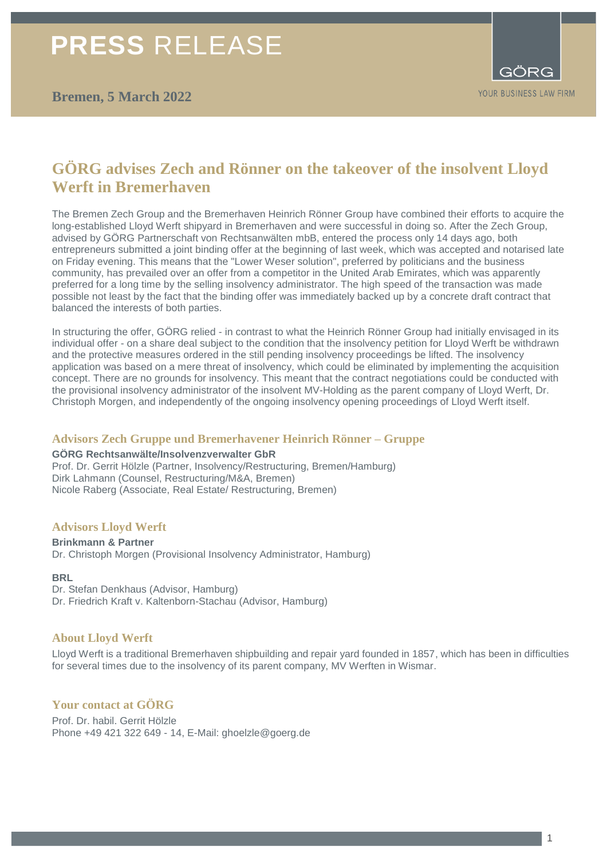# **PRESS** RELEASE



# **GÖRG advises Zech and Rönner on the takeover of the insolvent Lloyd Werft in Bremerhaven**

The Bremen Zech Group and the Bremerhaven Heinrich Rönner Group have combined their efforts to acquire the long-established Lloyd Werft shipyard in Bremerhaven and were successful in doing so. After the Zech Group, advised by GÖRG Partnerschaft von Rechtsanwälten mbB, entered the process only 14 days ago, both entrepreneurs submitted a joint binding offer at the beginning of last week, which was accepted and notarised late on Friday evening. This means that the "Lower Weser solution", preferred by politicians and the business community, has prevailed over an offer from a competitor in the United Arab Emirates, which was apparently preferred for a long time by the selling insolvency administrator. The high speed of the transaction was made possible not least by the fact that the binding offer was immediately backed up by a concrete draft contract that balanced the interests of both parties.

In structuring the offer, GÖRG relied - in contrast to what the Heinrich Rönner Group had initially envisaged in its individual offer - on a share deal subject to the condition that the insolvency petition for Lloyd Werft be withdrawn and the protective measures ordered in the still pending insolvency proceedings be lifted. The insolvency application was based on a mere threat of insolvency, which could be eliminated by implementing the acquisition concept. There are no grounds for insolvency. This meant that the contract negotiations could be conducted with the provisional insolvency administrator of the insolvent MV-Holding as the parent company of Lloyd Werft, Dr. Christoph Morgen, and independently of the ongoing insolvency opening proceedings of Lloyd Werft itself.

## **Advisors Zech Gruppe und Bremerhavener Heinrich Rönner – Gruppe**

#### **GÖRG Rechtsanwälte/Insolvenzverwalter GbR**

Prof. Dr. Gerrit Hölzle (Partner, Insolvency/Restructuring, Bremen/Hamburg) Dirk Lahmann (Counsel, Restructuring/M&A, Bremen) Nicole Raberg (Associate, Real Estate/ Restructuring, Bremen)

## **Advisors Lloyd Werft**

#### **Brinkmann & Partner**

Dr. Christoph Morgen (Provisional Insolvency Administrator, Hamburg)

#### **BRL**

- Dr. Stefan Denkhaus (Advisor, Hamburg)
- Dr. Friedrich Kraft v. Kaltenborn-Stachau (Advisor, Hamburg)

#### **About Lloyd Werft**

Lloyd Werft is a traditional Bremerhaven shipbuilding and repair yard founded in 1857, which has been in difficulties for several times due to the insolvency of its parent company, MV Werften in Wismar.

# **Your contact at GÖRG**

Prof. Dr. habil. Gerrit Hölzle Phone +49 421 322 649 - 14, E-Mail: ghoelzle@goerg.de